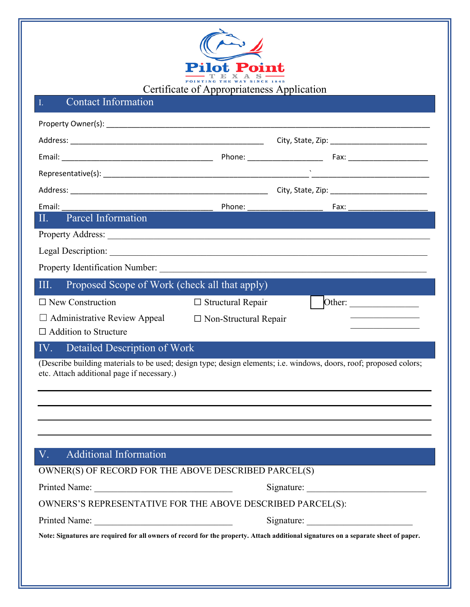

# I. Contact Information

| Email:                                                                                                                                                           |                              |  |        |  |
|------------------------------------------------------------------------------------------------------------------------------------------------------------------|------------------------------|--|--------|--|
| Parcel Information<br>П.                                                                                                                                         |                              |  |        |  |
|                                                                                                                                                                  |                              |  |        |  |
|                                                                                                                                                                  |                              |  |        |  |
|                                                                                                                                                                  |                              |  |        |  |
| Proposed Scope of Work (check all that apply)<br>III.                                                                                                            |                              |  |        |  |
| $\Box$ New Construction                                                                                                                                          | $\Box$ Structural Repair     |  | Other: |  |
| $\Box$ Administrative Review Appeal                                                                                                                              | $\Box$ Non-Structural Repair |  |        |  |
| $\Box$ Addition to Structure                                                                                                                                     |                              |  |        |  |
| Detailed Description of Work<br>IV.                                                                                                                              |                              |  |        |  |
| (Describe building materials to be used; design type; design elements; i.e. windows, doors, roof; proposed colors;<br>etc. Attach additional page if necessary.) |                              |  |        |  |
|                                                                                                                                                                  |                              |  |        |  |
|                                                                                                                                                                  |                              |  |        |  |
|                                                                                                                                                                  |                              |  |        |  |
|                                                                                                                                                                  |                              |  |        |  |
| <b>Additional Information</b><br>V.                                                                                                                              |                              |  |        |  |
| OWNER(S) OF RECORD FOR THE ABOVE DESCRIBED PARCEL(S)                                                                                                             |                              |  |        |  |
|                                                                                                                                                                  |                              |  |        |  |
| OWNERS'S REPRESENTATIVE FOR THE ABOVE DESCRIBED PARCEL(S):                                                                                                       |                              |  |        |  |
|                                                                                                                                                                  |                              |  |        |  |
| Note: Signatures are required for all owners of record for the property. Attach additional signatures on a separate sheet of paper.                              |                              |  |        |  |
|                                                                                                                                                                  |                              |  |        |  |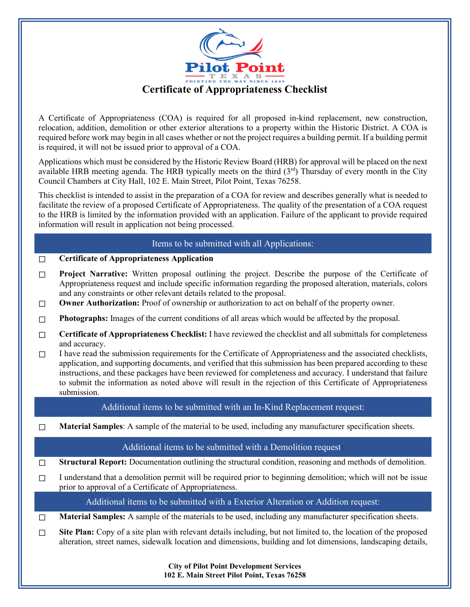

A Certificate of Appropriateness (COA) is required for all proposed in-kind replacement, new construction, relocation, addition, demolition or other exterior alterations to a property within the Historic District. A COA is required before work may begin in all cases whether or not the project requires a building permit. If a building permit is required, it will not be issued prior to approval of a COA.

Applications which must be considered by the Historic Review Board (HRB) for approval will be placed on the next available HRB meeting agenda. The HRB typically meets on the third  $(3<sup>rd</sup>)$  Thursday of every month in the City Council Chambers at City Hall, 102 E. Main Street, Pilot Point, Texas 76258.

This checklist is intended to assist in the preparation of a COA for review and describes generally what is needed to facilitate the review of a proposed Certificate of Appropriateness. The quality of the presentation of a COA request to the HRB is limited by the information provided with an application. Failure of the applicant to provide required information will result in application not being processed.

## Items to be submitted with all Applications:

#### ☐ **Certificate of Appropriateness Application**

- □ **Project Narrative:** Written proposal outlining the project. Describe the purpose of the Certificate of Appropriateness request and include specific information regarding the proposed alteration, materials, colors and any constraints or other relevant details related to the proposal.
- ☐ **Owner Authorization:** Proof of ownership or authorization to act on behalf of the property owner.
- ☐ **Photographs:** Images of the current conditions of all areas which would be affected by the proposal.
- ☐ **Certificate of Appropriateness Checklist:** I have reviewed the checklist and all submittals for completeness and accuracy.
- $\Box$  I have read the submission requirements for the Certificate of Appropriateness and the associated checklists, application, and supporting documents, and verified that this submission has been prepared according to these instructions, and these packages have been reviewed for completeness and accuracy. I understand that failure to submit the information as noted above will result in the rejection of this Certificate of Appropriateness submission.

Additional items to be submitted with an In-Kind Replacement request:

☐ **Material Samples**: A sample of the material to be used, including any manufacturer specification sheets.

### Additional items to be submitted with a Demolition request:

☐ **Structural Report:** Documentation outlining the structural condition, reasoning and methods of demolition.

 $\Box$  I understand that a demolition permit will be required prior to beginning demolition; which will not be issue prior to approval of a Certificate of Appropriateness.

Additional items to be submitted with a Exterior Alteration or Addition request:

☐ **Material Samples:** A sample of the materials to be used, including any manufacturer specification sheets.

☐ **Site Plan:** Copy of a site plan with relevant details including, but not limited to, the location of the proposed alteration, street names, sidewalk location and dimensions, building and lot dimensions, landscaping details,

> **City of Pilot Point Development Services 102 E. Main Street Pilot Point, Texas 76258**